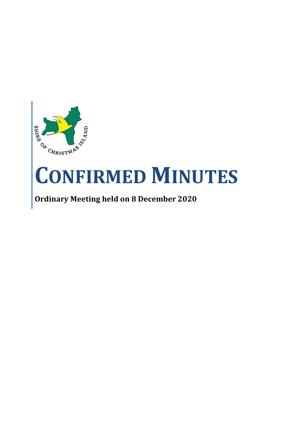

# **CONFIRMED MINUTES**

## **Ordinary Meeting held on 8 December 2020**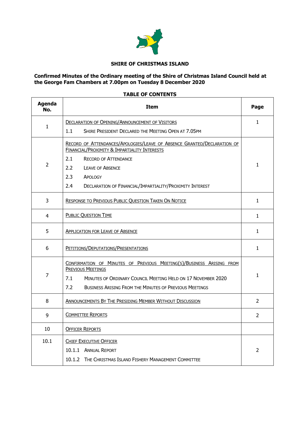

#### **SHIRE OF CHRISTMAS ISLAND**

#### **Confirmed Minutes of the Ordinary meeting of the Shire of Christmas Island Council held at the George Fam Chambers at 7.00pm on Tuesday 8 December 2020**

#### **TABLE OF CONTENTS**

| <b>Agenda</b><br>No. | <b>Item</b>                                                                                                                                                                                                                                     | Page           |
|----------------------|-------------------------------------------------------------------------------------------------------------------------------------------------------------------------------------------------------------------------------------------------|----------------|
|                      | <b>DECLARATION OF OPENING/ANNOUNCEMENT OF VISITORS</b>                                                                                                                                                                                          | 1              |
| $\mathbf{1}$         | 1.1<br>SHIRE PRESIDENT DECLARED THE MEETING OPEN AT 7.05PM                                                                                                                                                                                      |                |
|                      | RECORD OF ATTENDANCES/APOLOGIES/LEAVE OF ABSENCE GRANTED/DECLARATION OF<br>FINANCIAL/PROXIMITY & IMPARTIALITY INTERESTS                                                                                                                         |                |
| $\overline{2}$       | 2.1<br><b>RECORD OF ATTENDANCE</b>                                                                                                                                                                                                              |                |
|                      | 2.2<br><b>LEAVE OF ABSENCE</b>                                                                                                                                                                                                                  | $\mathbf{1}$   |
|                      | 2.3<br>APOLOGY                                                                                                                                                                                                                                  |                |
|                      | DECLARATION OF FINANCIAL/IMPARTIALITY/PROXIMITY INTEREST<br>2.4                                                                                                                                                                                 |                |
| 3                    | <b>RESPONSE TO PREVIOUS PUBLIC QUESTION TAKEN ON NOTICE</b>                                                                                                                                                                                     | $\mathbf{1}$   |
| 4                    | <b>PUBLIC QUESTION TIME</b>                                                                                                                                                                                                                     |                |
| 5                    | <b>APPLICATION FOR LEAVE OF ABSENCE</b>                                                                                                                                                                                                         |                |
| 6                    | PETITIONS/DEPUTATIONS/PRESENTATIONS                                                                                                                                                                                                             |                |
| 7                    | CONFIRMATION OF MINUTES OF PREVIOUS MEETING(S)/BUSINESS ARISING FROM<br><b>PREVIOUS MEETINGS</b><br>7.1<br>MINUTES OF ORDINARY COUNCIL MEETING HELD ON 17 NOVEMBER 2020<br>7.2<br><b>BUSINESS ARISING FROM THE MINUTES OF PREVIOUS MEETINGS</b> | $\mathbf{1}$   |
| 8                    | <b>ANNOUNCEMENTS BY THE PRESIDING MEMBER WITHOUT DISCUSSION</b>                                                                                                                                                                                 |                |
| 9                    | <b>COMMITTEE REPORTS</b>                                                                                                                                                                                                                        |                |
| 10                   | <b>OFFICER REPORTS</b>                                                                                                                                                                                                                          |                |
| 10.1                 | <b>CHIEF EXECUTIVE OFFICER</b>                                                                                                                                                                                                                  |                |
|                      | 10.1.1 ANNUAL REPORT                                                                                                                                                                                                                            | $\overline{2}$ |
|                      | 10.1.2 THE CHRISTMAS ISLAND FISHERY MANAGEMENT COMMITTEE                                                                                                                                                                                        |                |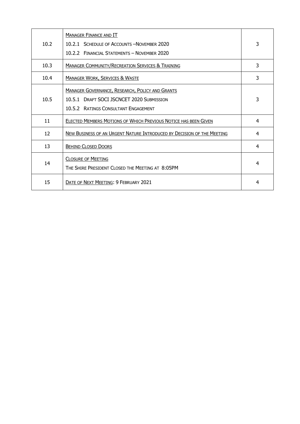| 10.2 | <b>MANAGER FINANCE AND IT</b><br>10.2.1 SCHEDULE OF ACCOUNTS - NOVEMBER 2020<br>10.2.2 FINANCIAL STATEMENTS - NOVEMBER 2020                           | 3 |
|------|-------------------------------------------------------------------------------------------------------------------------------------------------------|---|
| 10.3 | <b>MANAGER COMMUNITY/RECREATION SERVICES &amp; TRAINING</b>                                                                                           | 3 |
| 10.4 | <b>MANAGER WORK, SERVICES &amp; WASTE</b>                                                                                                             | 3 |
| 10.5 | <b>MANAGER GOVERNANCE, RESEARCH, POLICY AND GRANTS</b><br><b>DRAFT SOCI ISCNCET 2020 SUBMISSION</b><br>10.5.1<br>10.5.2 RATINGS CONSULTANT ENGAGEMENT | 3 |
| 11   | <b>ELECTED MEMBERS MOTIONS OF WHICH PREVIOUS NOTICE HAS BEEN GIVEN</b>                                                                                | 4 |
| 12   | NEW BUSINESS OF AN URGENT NATURE INTRODUCED BY DECISION OF THE MEETING                                                                                | 4 |
| 13   | <b>BEHIND CLOSED DOORS</b>                                                                                                                            | 4 |
| 14   | <b>CLOSURE OF MEETING</b><br>THE SHIRE PRESIDENT CLOSED THE MEETING AT 8:05PM                                                                         | 4 |
| 15   | DATE OF NEXT MEETING: 9 FEBRUARY 2021                                                                                                                 | 4 |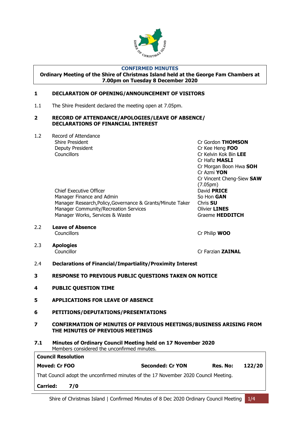

#### **CONFIRMED MINUTES**

**Ordinary Meeting of the Shire of Christmas Island held at the George Fam Chambers at 7.00pm on Tuesday 8 December 2020**

#### <span id="page-3-0"></span>**1 DECLARATION OF OPENING/ANNOUNCEMENT OF VISITORS**

1.1 The Shire President declared the meeting open at 7.05pm.

#### <span id="page-3-1"></span>**2 RECORD OF ATTENDANCE/APOLOGIES/LEAVE OF ABSENCE/ DECLARATIONS OF FINANCIAL INTEREST**

1.2 Record of Attendance Deputy President Cr Kee Heng **FOO**

> Chief Executive Officer **David PRICE** Manager Finance and Admin So Hon **GAN** Manager Research,Policy,Governance & Grants/Minute Taker Chris **SU** Manager Community/Recreation Services **Community/Recreation Services** Manager Works, Services & Waste Graeme **HEDDITCH**

Shire President Cr Gordon **THOMSON** Councillors Cr Kelvin Kok Bin **LEE** Cr Hafiz **MASLI** Cr Morgan Boon Hwa **SOH** Cr Azmi **YON** Cr Vincent Cheng-Siew **SAW** (7.05pm)

2.2 **Leave of Absence** Councillors **Councillors** Cr Philip **WOO** 

2.3 **Apologies**

Councillor Cr Farzian **ZAINAL**

- 2.4 **Declarations of Financial/Impartiality/Proximity Interest**
- <span id="page-3-2"></span>**3 RESPONSE TO PREVIOUS PUBLIC QUESTIONS TAKEN ON NOTICE**
- <span id="page-3-3"></span>**4 PUBLIC QUESTION TIME**
- <span id="page-3-4"></span>**5 APPLICATIONS FOR LEAVE OF ABSENCE**
- <span id="page-3-5"></span>**6 PETITIONS/DEPUTATIONS/PRESENTATIONS**
- <span id="page-3-6"></span>**7 CONFIRMATION OF MINUTES OF PREVIOUS MEETINGS/BUSINESS ARISING FROM THE MINUTES OF PREVIOUS MEETINGS**
- **7.1 Minutes of Ordinary Council Meeting held on 17 November 2020** Members considered the unconfirmed minutes.

| <b>Council Resolution</b> |     |                                                                                     |          |        |
|---------------------------|-----|-------------------------------------------------------------------------------------|----------|--------|
| Moved: Cr FOO             |     | <b>Seconded: Cr YON</b>                                                             | Res. No: | 122/20 |
|                           |     | That Council adopt the unconfirmed minutes of the 17 November 2020 Council Meeting. |          |        |
| <b>Carried:</b>           | 7/0 |                                                                                     |          |        |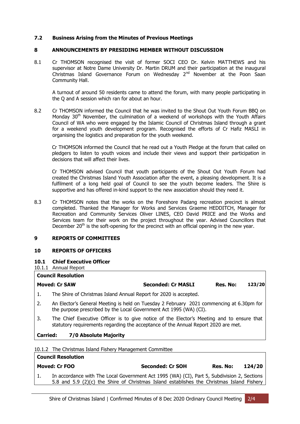#### **7.2 Business Arising from the Minutes of Previous Meetings**

#### <span id="page-4-0"></span>**8 ANNOUNCEMENTS BY PRESIDING MEMBER WITHOUT DISCUSSION**

8.1 Cr THOMSON recognised the visit of former SOCI CEO Dr. Kelvin MATTHEWS and his supervisor at Notre Dame University Dr. Martin DRUM and their participation at the inaugural Christmas Island Governance Forum on Wednesday 2<sup>nd</sup> November at the Poon Saan Community Hall.

A turnout of around 50 residents came to attend the forum, with many people participating in the Q and A session which ran for about an hour.

8.2 Cr THOMSON informed the Council that he was invited to the Shout Out Youth Forum BBQ on Monday 30<sup>th</sup> November, the culmination of a weekend of workshops with the Youth Affairs Council of WA who were engaged by the Islamic Council of Christmas Island through a grant for a weekend youth development program. Recognised the efforts of Cr Hafiz MASLI in organising the logistics and preparation for the youth weekend.

Cr THOMSON informed the Council that he read out a Youth Pledge at the forum that called on pledgers to listen to youth voices and include their views and support their participation in decisions that will affect their lives.

Cr THOMSON advised Council that youth participants of the Shout Out Youth Forum had created the Christmas Island Youth Association after the event, a pleasing development. It is a fulfilment of a long held goal of Council to see the youth become leaders. The Shire is supportive and has offered in-kind support to the new association should they need it.

8.3 Cr THOMSON notes that the works on the Foreshore Padang recreation precinct is almost completed. Thanked the Manager for Works and Services Graeme HEDDITCH, Manager for Recreation and Community Services Oliver LINES, CEO David PRICE and the Works and Services team for their work on the project throughout the year. Advised Councillors that December  $20<sup>th</sup>$  is the soft-opening for the precinct with an official opening in the new year.

#### <span id="page-4-1"></span>**9 REPORTS OF COMMITTEES**

#### **10 REPORTS OF OFFICERS**

#### <span id="page-4-2"></span>**10.1 Chief Executive Officer**

10.1.1 Annual Report

**Council Resolution**

### **Council Resolution Moved: Cr SAW Seconded: Cr MASLI Res. No: 123/20** 1. The Shire of Christmas Island Annual Report for 2020 is accepted. 2. An Elector's General Meeting is held on Tuesday 2 February 2021 commencing at 6.30pm for the purpose prescribed by the Local Government Act 1995 (WA) (CI). 3. The Chief Executive Officer is to give notice of the Elector's Meeting and to ensure that statutory requirements regarding the acceptance of the Annual Report 2020 are met. **Carried: 7/0 Absolute Majority**

10.1.2 The Christmas Island Fishery Management Committee

|     | Moved: Cr FOO                                                                               | <b>Seconded: Cr SOH</b> | 124/20<br>Res. No: |
|-----|---------------------------------------------------------------------------------------------|-------------------------|--------------------|
| -1. | In accordance with The Local Government Act 1995 (WA) (CI), Part 5, Subdivision 2, Sections |                         |                    |
|     | 5.8 and 5.9 (2)(c) the Shire of Christmas Island establishes the Christmas Island Fishery   |                         |                    |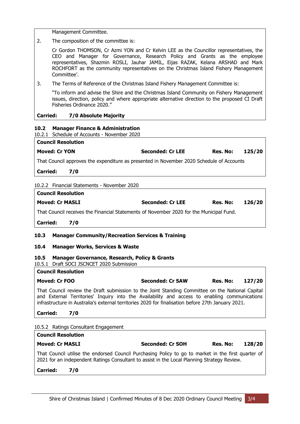Management Committee.

2. The composition of the committee is:

Cr Gordon THOMSON, Cr Azmi YON and Cr Kelvin LEE as the Councillor representatives, the CEO and Manager for Governance, Research Policy and Grants as the employee representatives, Shazmin ROSLI, Jauhar JAMIL, Eijas RAZAK, Kelana ARSHAD and Mark ROCHFORT as the community representatives on the Christmas Island Fishery Management Committee'.

3. The Terms of Reference of the Christmas Island Fishery Management Committee is:

"To inform and advise the Shire and the Christmas Island Community on Fishery Management issues, direction, policy and where appropriate alternative direction to the proposed CI Draft Fisheries Ordinance 2020."

#### **Carried: 7/0 Absolute Majority**

#### <span id="page-5-0"></span>**10.2 Manager Finance & Administration**

10.2.1 Schedule of Accounts - November 2020 **Council Resolution Moved: Cr YON Seconded: Cr LEE Res. No: 125/20** That Council approves the expenditure as presented in November 2020 Schedule of Accounts

**Carried: 7/0**

**Council Resolution**

#### 10.2.2 Financial Statements - November 2020

| -------------------    |                         |          |        |
|------------------------|-------------------------|----------|--------|
| <b>Moved: Cr MASLI</b> | <b>Seconded: Cr LEE</b> | Res. No: | 126/20 |

That Council receives the Financial Statements of November 2020 for the Municipal Fund.

**Carried: 7/0**

#### <span id="page-5-1"></span>**10.3 Manager Community/Recreation Services & Training**

#### <span id="page-5-2"></span>**10.4 Manager Works, Services & Waste**

#### <span id="page-5-3"></span>**10.5 Manager Governance, Research, Policy & Grants**

10.5.1 Draft SOCI JSCNCET 2020 Submission

#### **Council Resolution**

| Moved: Cr FOO | <b>Seconded: Cr SAW</b> | Res. No: | 127/20 |
|---------------|-------------------------|----------|--------|
|               |                         |          |        |

That Council review the Draft submission to the Joint Standing Committee on the National Capital and External Territories' Inquiry into the Availability and access to enabling communications infrastructure in Australia's external territories 2020 for finalisation before 27th January 2021.

#### **Carried: 7/0**

**Council Resolution**

10.5.2 Ratings Consultant Engagement

| совнен кезонистоп                                                                                   |                         |          |        |
|-----------------------------------------------------------------------------------------------------|-------------------------|----------|--------|
| <b>Moved: Cr MASLI</b>                                                                              | <b>Seconded: Cr SOH</b> | Res. No: | 128/20 |
| That Council utilise the endorsed Council Purchasing Policy to go to market in the first quarter of |                         |          |        |
| 2021 for an independent Ratings Consultant to assist in the Local Planning Strategy Review.         |                         |          |        |

**Carried: 7/0**